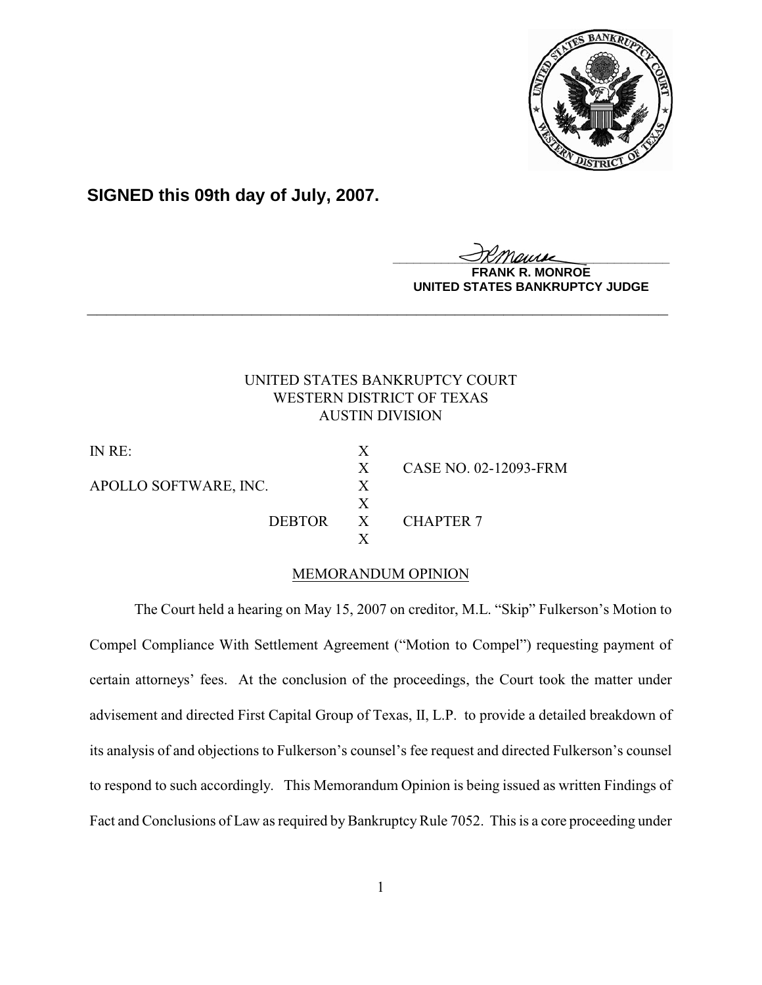

# **SIGNED this 09th day of July, 2007.**

<u>IKThemse</u>

**MONROE UNITED STATES BANKRUPTCY JUDGE**

## UNITED STATES BANKRUPTCY COURT WESTERN DISTRICT OF TEXAS AUSTIN DIVISION

**\_\_\_\_\_\_\_\_\_\_\_\_\_\_\_\_\_\_\_\_\_\_\_\_\_\_\_\_\_\_\_\_\_\_\_\_\_\_\_\_\_\_\_\_\_\_\_\_\_\_\_\_\_\_\_\_\_\_\_\_**

IN RE: X X CASE NO. 02-12093-FRM APOLLO SOFTWARE, INC. X X DEBTOR X CHAPTER 7 X

# MEMORANDUM OPINION

The Court held a hearing on May 15, 2007 on creditor, M.L. "Skip" Fulkerson's Motion to Compel Compliance With Settlement Agreement ("Motion to Compel") requesting payment of certain attorneys' fees. At the conclusion of the proceedings, the Court took the matter under advisement and directed First Capital Group of Texas, II, L.P. to provide a detailed breakdown of its analysis of and objections to Fulkerson's counsel's fee request and directed Fulkerson's counsel to respond to such accordingly. This Memorandum Opinion is being issued as written Findings of Fact and Conclusions of Law as required by Bankruptcy Rule 7052. This is a core proceeding under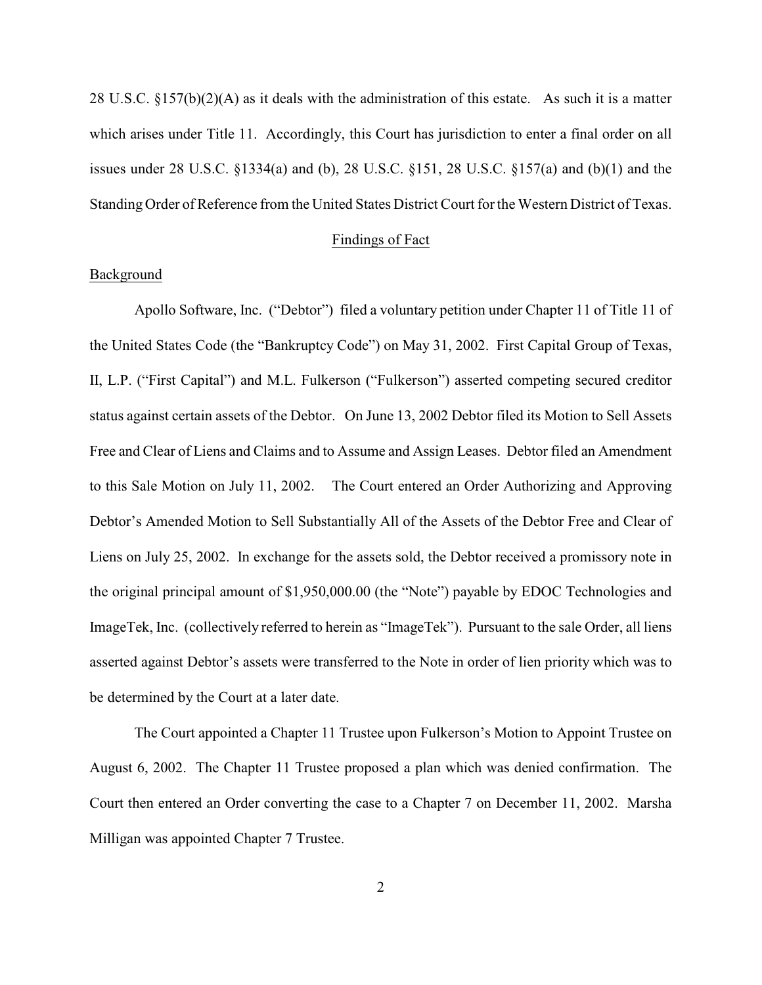28 U.S.C. §157(b)(2)(A) as it deals with the administration of this estate. As such it is a matter which arises under Title 11. Accordingly, this Court has jurisdiction to enter a final order on all issues under 28 U.S.C. §1334(a) and (b), 28 U.S.C. §151, 28 U.S.C. §157(a) and (b)(1) and the Standing Order of Reference from the United States District Court for the Western District of Texas.

#### Findings of Fact

#### Background

Apollo Software, Inc. ("Debtor") filed a voluntary petition under Chapter 11 of Title 11 of the United States Code (the "Bankruptcy Code") on May 31, 2002. First Capital Group of Texas, II, L.P. ("First Capital") and M.L. Fulkerson ("Fulkerson") asserted competing secured creditor status against certain assets of the Debtor. On June 13, 2002 Debtor filed its Motion to Sell Assets Free and Clear of Liens and Claims and to Assume and Assign Leases. Debtor filed an Amendment to this Sale Motion on July 11, 2002. The Court entered an Order Authorizing and Approving Debtor's Amended Motion to Sell Substantially All of the Assets of the Debtor Free and Clear of Liens on July 25, 2002. In exchange for the assets sold, the Debtor received a promissory note in the original principal amount of \$1,950,000.00 (the "Note") payable by EDOC Technologies and ImageTek, Inc. (collectively referred to herein as "ImageTek"). Pursuant to the sale Order, all liens asserted against Debtor's assets were transferred to the Note in order of lien priority which was to be determined by the Court at a later date.

The Court appointed a Chapter 11 Trustee upon Fulkerson's Motion to Appoint Trustee on August 6, 2002. The Chapter 11 Trustee proposed a plan which was denied confirmation. The Court then entered an Order converting the case to a Chapter 7 on December 11, 2002. Marsha Milligan was appointed Chapter 7 Trustee.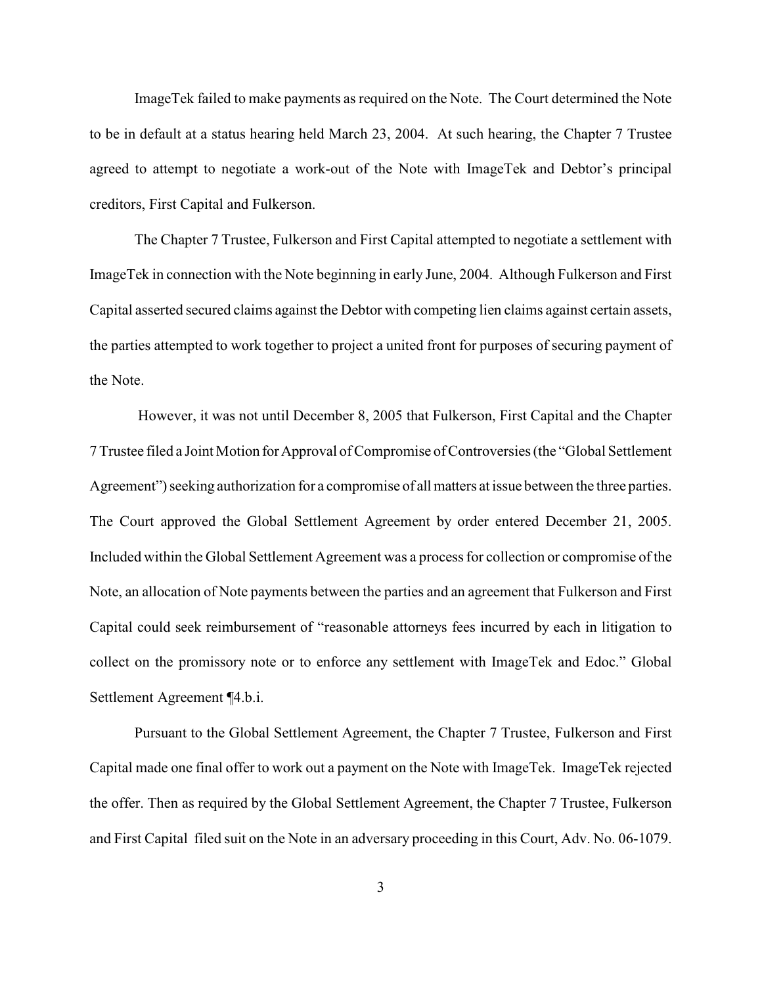ImageTek failed to make payments as required on the Note. The Court determined the Note to be in default at a status hearing held March 23, 2004. At such hearing, the Chapter 7 Trustee agreed to attempt to negotiate a work-out of the Note with ImageTek and Debtor's principal creditors, First Capital and Fulkerson.

The Chapter 7 Trustee, Fulkerson and First Capital attempted to negotiate a settlement with ImageTek in connection with the Note beginning in early June, 2004. Although Fulkerson and First Capital asserted secured claims against the Debtor with competing lien claims against certain assets, the parties attempted to work together to project a united front for purposes of securing payment of the Note.

 However, it was not until December 8, 2005 that Fulkerson, First Capital and the Chapter 7 Trustee filed a Joint Motion for Approval of Compromise of Controversies (the "Global Settlement Agreement") seeking authorization for a compromise of all matters at issue between the three parties. The Court approved the Global Settlement Agreement by order entered December 21, 2005. Included within the Global Settlement Agreement was a process for collection or compromise of the Note, an allocation of Note payments between the parties and an agreement that Fulkerson and First Capital could seek reimbursement of "reasonable attorneys fees incurred by each in litigation to collect on the promissory note or to enforce any settlement with ImageTek and Edoc." Global Settlement Agreement ¶4.b.i.

Pursuant to the Global Settlement Agreement, the Chapter 7 Trustee, Fulkerson and First Capital made one final offer to work out a payment on the Note with ImageTek. ImageTek rejected the offer. Then as required by the Global Settlement Agreement, the Chapter 7 Trustee, Fulkerson and First Capital filed suit on the Note in an adversary proceeding in this Court, Adv. No. 06-1079.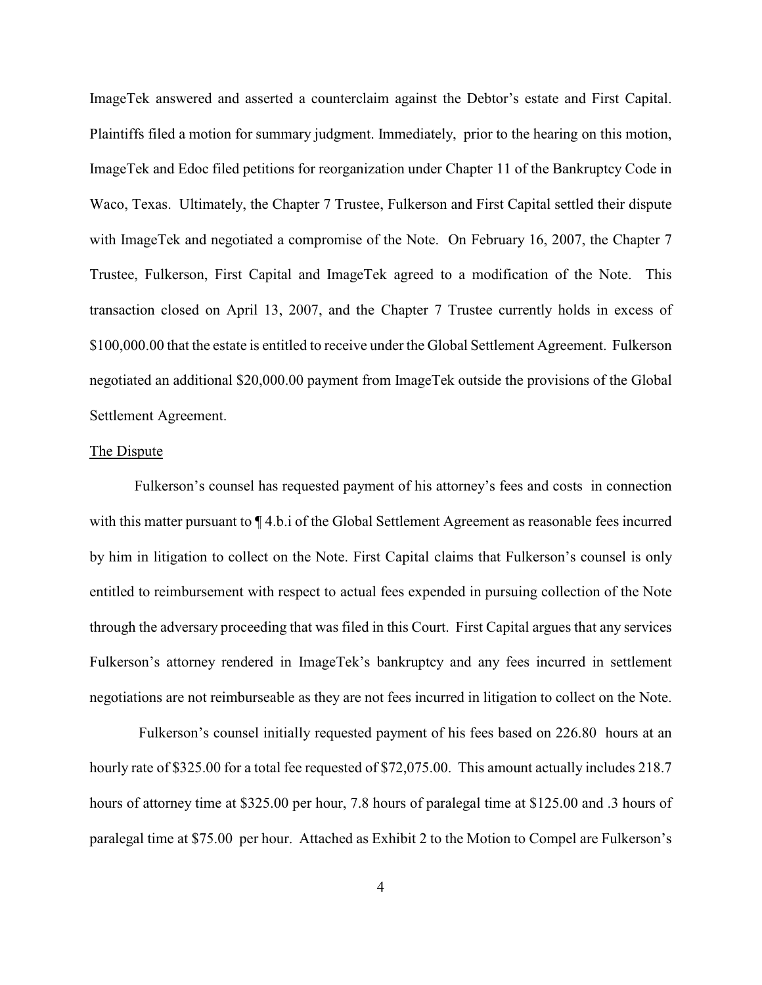ImageTek answered and asserted a counterclaim against the Debtor's estate and First Capital. Plaintiffs filed a motion for summary judgment. Immediately, prior to the hearing on this motion, ImageTek and Edoc filed petitions for reorganization under Chapter 11 of the Bankruptcy Code in Waco, Texas. Ultimately, the Chapter 7 Trustee, Fulkerson and First Capital settled their dispute with ImageTek and negotiated a compromise of the Note. On February 16, 2007, the Chapter 7 Trustee, Fulkerson, First Capital and ImageTek agreed to a modification of the Note. This transaction closed on April 13, 2007, and the Chapter 7 Trustee currently holds in excess of \$100,000.00 that the estate is entitled to receive under the Global Settlement Agreement. Fulkerson negotiated an additional \$20,000.00 payment from ImageTek outside the provisions of the Global Settlement Agreement.

### The Dispute

Fulkerson's counsel has requested payment of his attorney's fees and costs in connection with this matter pursuant to  $\P$  4.b.i of the Global Settlement Agreement as reasonable fees incurred by him in litigation to collect on the Note. First Capital claims that Fulkerson's counsel is only entitled to reimbursement with respect to actual fees expended in pursuing collection of the Note through the adversary proceeding that was filed in this Court. First Capital argues that any services Fulkerson's attorney rendered in ImageTek's bankruptcy and any fees incurred in settlement negotiations are not reimburseable as they are not fees incurred in litigation to collect on the Note.

 Fulkerson's counsel initially requested payment of his fees based on 226.80 hours at an hourly rate of \$325.00 for a total fee requested of \$72,075.00. This amount actually includes 218.7 hours of attorney time at \$325.00 per hour, 7.8 hours of paralegal time at \$125.00 and .3 hours of paralegal time at \$75.00 per hour. Attached as Exhibit 2 to the Motion to Compel are Fulkerson's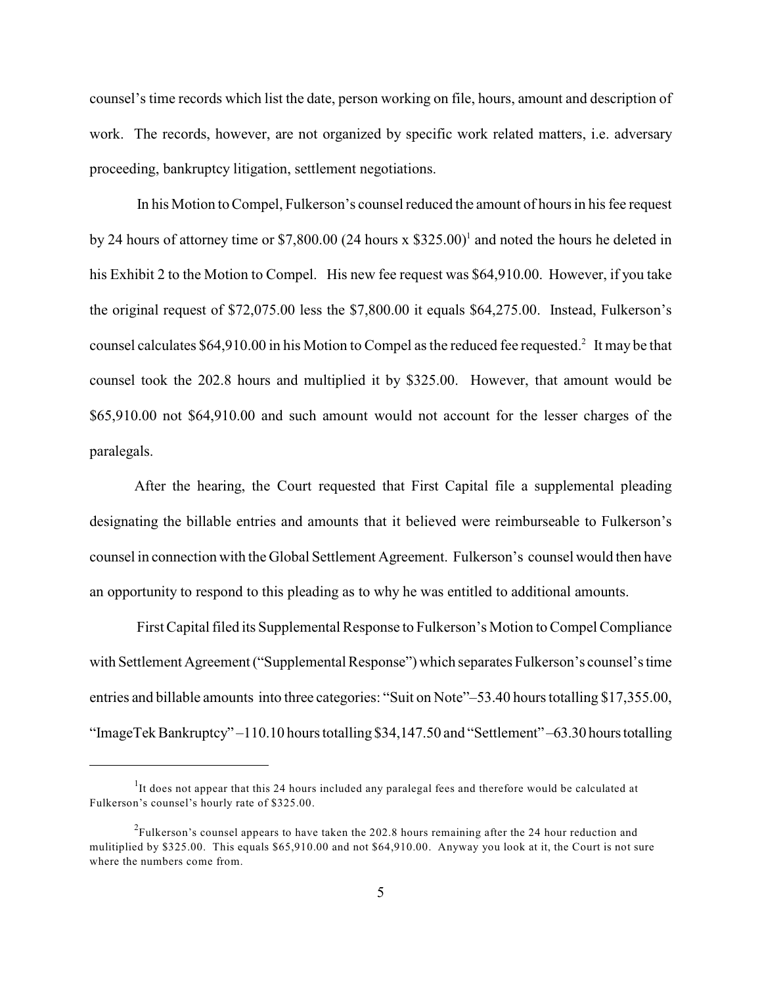counsel's time records which list the date, person working on file, hours, amount and description of work. The records, however, are not organized by specific work related matters, i.e. adversary proceeding, bankruptcy litigation, settlement negotiations.

 In his Motion to Compel, Fulkerson's counsel reduced the amount of hours in his fee request by 24 hours of attorney time or \$7,800.00 (24 hours x  $$325.00$ )<sup>1</sup> and noted the hours he deleted in his Exhibit 2 to the Motion to Compel. His new fee request was \$64,910.00. However, if you take the original request of \$72,075.00 less the \$7,800.00 it equals \$64,275.00. Instead, Fulkerson's counsel calculates  $$64,910.00$  in his Motion to Compel as the reduced fee requested.<sup>2</sup> It may be that counsel took the 202.8 hours and multiplied it by \$325.00. However, that amount would be \$65,910.00 not \$64,910.00 and such amount would not account for the lesser charges of the paralegals.

After the hearing, the Court requested that First Capital file a supplemental pleading designating the billable entries and amounts that it believed were reimburseable to Fulkerson's counsel in connection with the Global Settlement Agreement. Fulkerson's counsel would then have an opportunity to respond to this pleading as to why he was entitled to additional amounts.

 First Capital filed its Supplemental Response to Fulkerson's Motion to Compel Compliance with Settlement Agreement ("Supplemental Response") which separates Fulkerson's counsel's time entries and billable amounts into three categories: "Suit on Note"–53.40 hours totalling \$17,355.00, "ImageTek Bankruptcy" –110.10 hours totalling \$34,147.50 and "Settlement" –63.30 hours totalling

 $1$ It does not appear that this 24 hours included any paralegal fees and therefore would be calculated at Fulkerson's counsel's hourly rate of \$325.00.

 $^{2}$ Fulkerson's counsel appears to have taken the 202.8 hours remaining after the 24 hour reduction and mulitiplied by \$325.00. This equals \$65,910.00 and not \$64,910.00. Anyway you look at it, the Court is not sure where the numbers come from.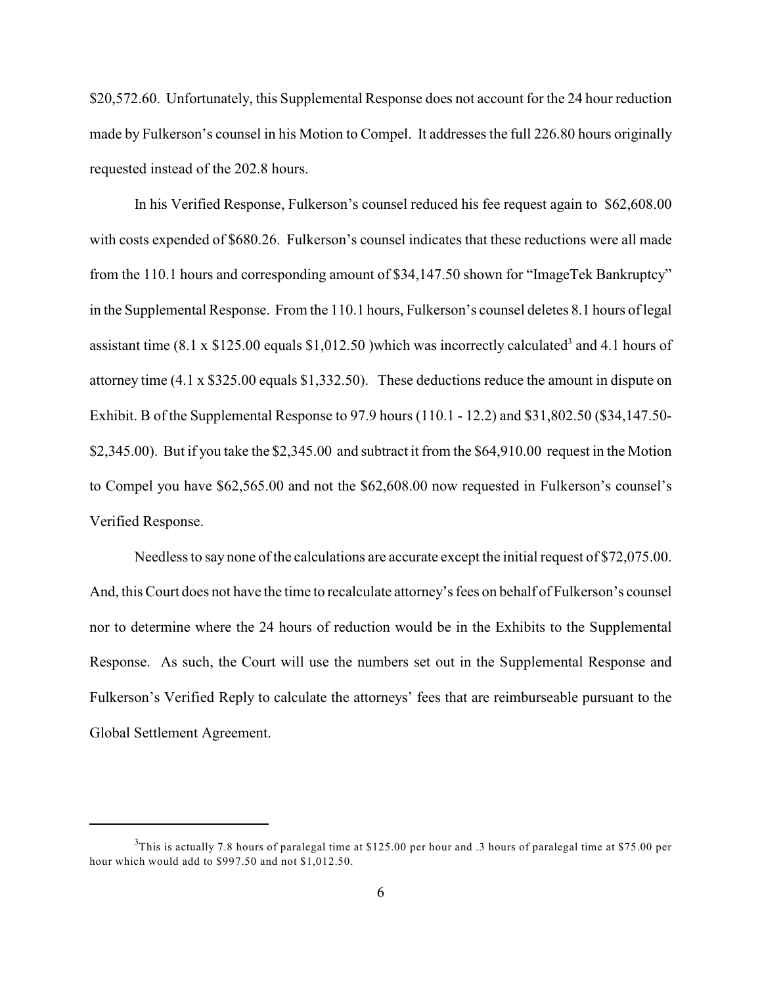\$20,572.60. Unfortunately, this Supplemental Response does not account for the 24 hour reduction made by Fulkerson's counsel in his Motion to Compel. It addresses the full 226.80 hours originally requested instead of the 202.8 hours.

In his Verified Response, Fulkerson's counsel reduced his fee request again to \$62,608.00 with costs expended of \$680.26. Fulkerson's counsel indicates that these reductions were all made from the 110.1 hours and corresponding amount of \$34,147.50 shown for "ImageTek Bankruptcy" in the Supplemental Response. From the 110.1 hours, Fulkerson's counsel deletes 8.1 hours of legal assistant time  $(8.1 \times $125.00 \text{ equals } $1,012.50)$  which was incorrectly calculated<sup>3</sup> and 4.1 hours of attorney time (4.1 x \$325.00 equals \$1,332.50). These deductions reduce the amount in dispute on Exhibit. B of the Supplemental Response to 97.9 hours (110.1 - 12.2) and \$31,802.50 (\$34,147.50- \$2,345.00). But if you take the \$2,345.00 and subtract it from the \$64,910.00 request in the Motion to Compel you have \$62,565.00 and not the \$62,608.00 now requested in Fulkerson's counsel's Verified Response.

Needless to say none of the calculations are accurate except the initial request of \$72,075.00. And, this Court does not have the time to recalculate attorney's fees on behalf of Fulkerson's counsel nor to determine where the 24 hours of reduction would be in the Exhibits to the Supplemental Response. As such, the Court will use the numbers set out in the Supplemental Response and Fulkerson's Verified Reply to calculate the attorneys' fees that are reimburseable pursuant to the Global Settlement Agreement.

 $3$ This is actually 7.8 hours of paralegal time at \$125.00 per hour and .3 hours of paralegal time at \$75.00 per hour which would add to \$997.50 and not \$1,012.50.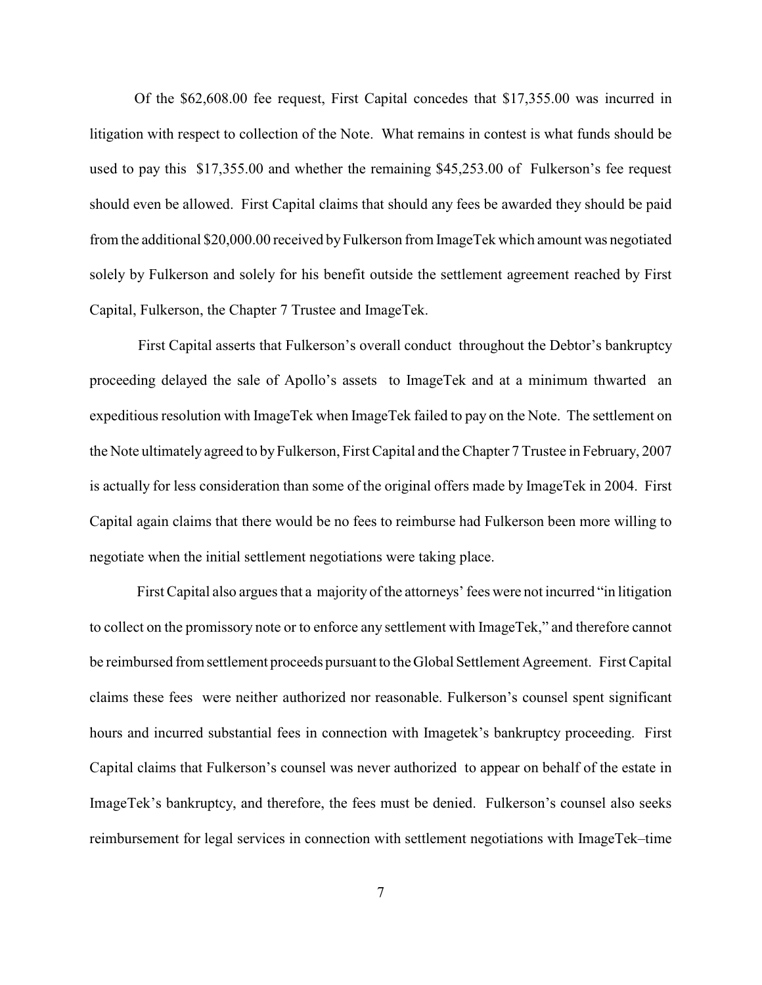Of the \$62,608.00 fee request, First Capital concedes that \$17,355.00 was incurred in litigation with respect to collection of the Note. What remains in contest is what funds should be used to pay this \$17,355.00 and whether the remaining \$45,253.00 of Fulkerson's fee request should even be allowed. First Capital claims that should any fees be awarded they should be paid from the additional \$20,000.00 received by Fulkerson from ImageTek which amount was negotiated solely by Fulkerson and solely for his benefit outside the settlement agreement reached by First Capital, Fulkerson, the Chapter 7 Trustee and ImageTek.

 First Capital asserts that Fulkerson's overall conduct throughout the Debtor's bankruptcy proceeding delayed the sale of Apollo's assets to ImageTek and at a minimum thwarted an expeditious resolution with ImageTek when ImageTek failed to pay on the Note. The settlement on the Note ultimately agreed to by Fulkerson, First Capital and the Chapter 7 Trustee in February, 2007 is actually for less consideration than some of the original offers made by ImageTek in 2004. First Capital again claims that there would be no fees to reimburse had Fulkerson been more willing to negotiate when the initial settlement negotiations were taking place.

 First Capital also argues that a majority of the attorneys' fees were not incurred "in litigation to collect on the promissory note or to enforce any settlement with ImageTek," and therefore cannot be reimbursed from settlement proceeds pursuant to theGlobal Settlement Agreement. First Capital claims these fees were neither authorized nor reasonable. Fulkerson's counsel spent significant hours and incurred substantial fees in connection with Imagetek's bankruptcy proceeding. First Capital claims that Fulkerson's counsel was never authorized to appear on behalf of the estate in ImageTek's bankruptcy, and therefore, the fees must be denied. Fulkerson's counsel also seeks reimbursement for legal services in connection with settlement negotiations with ImageTek–time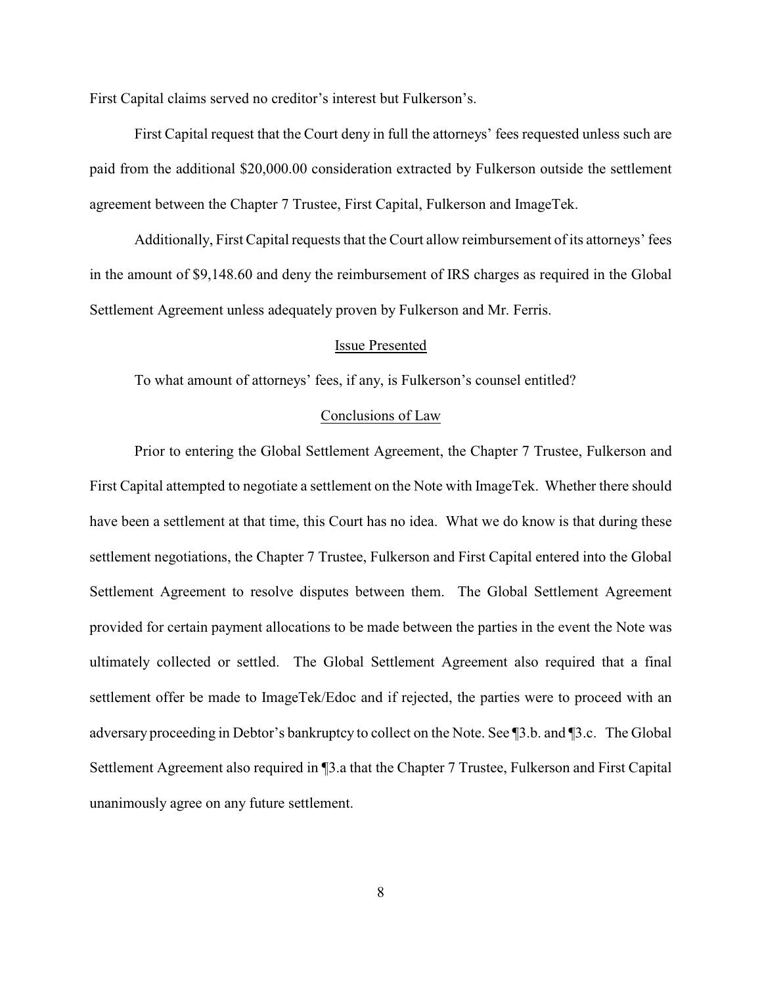First Capital claims served no creditor's interest but Fulkerson's.

First Capital request that the Court deny in full the attorneys' fees requested unless such are paid from the additional \$20,000.00 consideration extracted by Fulkerson outside the settlement agreement between the Chapter 7 Trustee, First Capital, Fulkerson and ImageTek.

Additionally, First Capital requests that the Court allow reimbursement of its attorneys' fees in the amount of \$9,148.60 and deny the reimbursement of IRS charges as required in the Global Settlement Agreement unless adequately proven by Fulkerson and Mr. Ferris.

#### Issue Presented

To what amount of attorneys' fees, if any, is Fulkerson's counsel entitled?

### Conclusions of Law

Prior to entering the Global Settlement Agreement, the Chapter 7 Trustee, Fulkerson and First Capital attempted to negotiate a settlement on the Note with ImageTek. Whether there should have been a settlement at that time, this Court has no idea. What we do know is that during these settlement negotiations, the Chapter 7 Trustee, Fulkerson and First Capital entered into the Global Settlement Agreement to resolve disputes between them. The Global Settlement Agreement provided for certain payment allocations to be made between the parties in the event the Note was ultimately collected or settled. The Global Settlement Agreement also required that a final settlement offer be made to ImageTek/Edoc and if rejected, the parties were to proceed with an adversary proceeding in Debtor's bankruptcy to collect on the Note. See ¶3.b. and ¶3.c. The Global Settlement Agreement also required in ¶3.a that the Chapter 7 Trustee, Fulkerson and First Capital unanimously agree on any future settlement.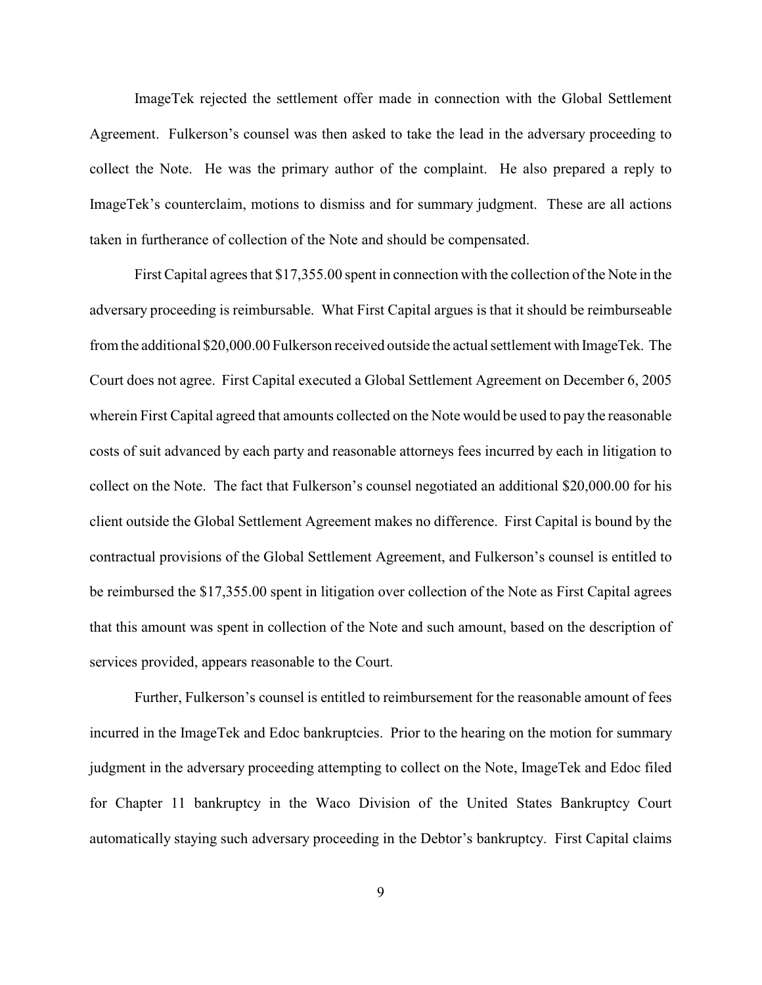ImageTek rejected the settlement offer made in connection with the Global Settlement Agreement. Fulkerson's counsel was then asked to take the lead in the adversary proceeding to collect the Note. He was the primary author of the complaint. He also prepared a reply to ImageTek's counterclaim, motions to dismiss and for summary judgment. These are all actions taken in furtherance of collection of the Note and should be compensated.

First Capital agrees that \$17,355.00 spent in connection with the collection of the Note in the adversary proceeding is reimbursable. What First Capital argues is that it should be reimburseable from the additional \$20,000.00 Fulkerson received outside the actual settlement with ImageTek. The Court does not agree. First Capital executed a Global Settlement Agreement on December 6, 2005 wherein First Capital agreed that amounts collected on the Note would be used to pay the reasonable costs of suit advanced by each party and reasonable attorneys fees incurred by each in litigation to collect on the Note. The fact that Fulkerson's counsel negotiated an additional \$20,000.00 for his client outside the Global Settlement Agreement makes no difference. First Capital is bound by the contractual provisions of the Global Settlement Agreement, and Fulkerson's counsel is entitled to be reimbursed the \$17,355.00 spent in litigation over collection of the Note as First Capital agrees that this amount was spent in collection of the Note and such amount, based on the description of services provided, appears reasonable to the Court.

Further, Fulkerson's counsel is entitled to reimbursement for the reasonable amount of fees incurred in the ImageTek and Edoc bankruptcies. Prior to the hearing on the motion for summary judgment in the adversary proceeding attempting to collect on the Note, ImageTek and Edoc filed for Chapter 11 bankruptcy in the Waco Division of the United States Bankruptcy Court automatically staying such adversary proceeding in the Debtor's bankruptcy. First Capital claims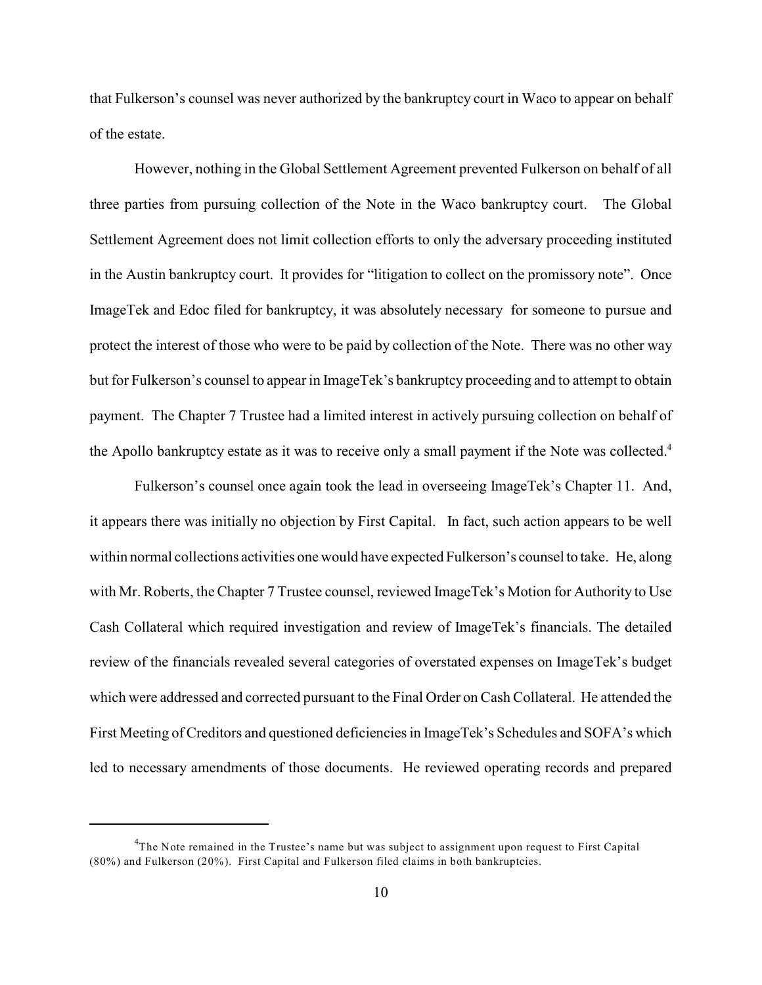that Fulkerson's counsel was never authorized by the bankruptcy court in Waco to appear on behalf of the estate.

However, nothing in the Global Settlement Agreement prevented Fulkerson on behalf of all three parties from pursuing collection of the Note in the Waco bankruptcy court. The Global Settlement Agreement does not limit collection efforts to only the adversary proceeding instituted in the Austin bankruptcy court. It provides for "litigation to collect on the promissory note". Once ImageTek and Edoc filed for bankruptcy, it was absolutely necessary for someone to pursue and protect the interest of those who were to be paid by collection of the Note. There was no other way but for Fulkerson's counsel to appear in ImageTek's bankruptcy proceeding and to attempt to obtain payment. The Chapter 7 Trustee had a limited interest in actively pursuing collection on behalf of the Apollo bankruptcy estate as it was to receive only a small payment if the Note was collected.<sup>4</sup>

Fulkerson's counsel once again took the lead in overseeing ImageTek's Chapter 11. And, it appears there was initially no objection by First Capital. In fact, such action appears to be well within normal collections activities one would have expected Fulkerson's counsel to take. He, along with Mr. Roberts, the Chapter 7 Trustee counsel, reviewed ImageTek's Motion for Authority to Use Cash Collateral which required investigation and review of ImageTek's financials. The detailed review of the financials revealed several categories of overstated expenses on ImageTek's budget which were addressed and corrected pursuant to the Final Order on Cash Collateral. He attended the First Meeting of Creditors and questioned deficiencies in ImageTek's Schedules and SOFA's which led to necessary amendments of those documents. He reviewed operating records and prepared

 $<sup>4</sup>$ The Note remained in the Trustee's name but was subject to assignment upon request to First Capital</sup> (80%) and Fulkerson (20%). First Capital and Fulkerson filed claims in both bankruptcies.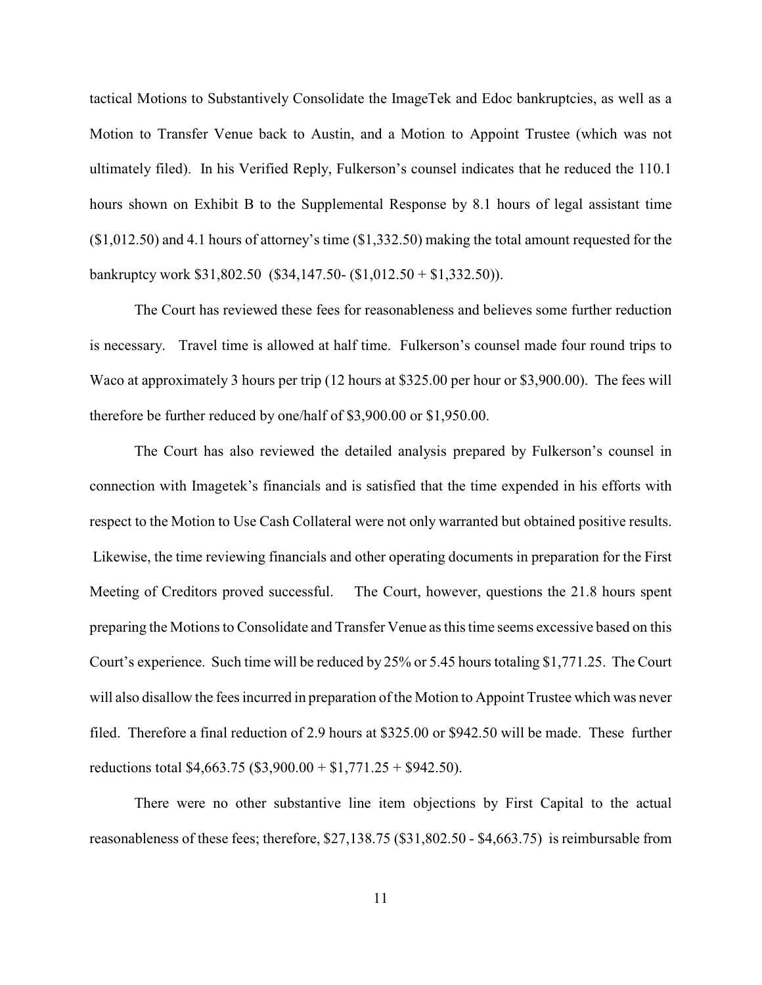tactical Motions to Substantively Consolidate the ImageTek and Edoc bankruptcies, as well as a Motion to Transfer Venue back to Austin, and a Motion to Appoint Trustee (which was not ultimately filed). In his Verified Reply, Fulkerson's counsel indicates that he reduced the 110.1 hours shown on Exhibit B to the Supplemental Response by 8.1 hours of legal assistant time (\$1,012.50) and 4.1 hours of attorney's time (\$1,332.50) making the total amount requested for the bankruptcy work \$31,802.50 (\$34,147.50- (\$1,012.50 + \$1,332.50)).

The Court has reviewed these fees for reasonableness and believes some further reduction is necessary. Travel time is allowed at half time. Fulkerson's counsel made four round trips to Waco at approximately 3 hours per trip (12 hours at \$325.00 per hour or \$3,900.00). The fees will therefore be further reduced by one/half of \$3,900.00 or \$1,950.00.

The Court has also reviewed the detailed analysis prepared by Fulkerson's counsel in connection with Imagetek's financials and is satisfied that the time expended in his efforts with respect to the Motion to Use Cash Collateral were not only warranted but obtained positive results. Likewise, the time reviewing financials and other operating documents in preparation for the First Meeting of Creditors proved successful. The Court, however, questions the 21.8 hours spent preparing the Motions to Consolidate and Transfer Venue as this time seems excessive based on this Court's experience. Such time will be reduced by 25% or 5.45 hours totaling \$1,771.25. The Court will also disallow the fees incurred in preparation of the Motion to Appoint Trustee which was never filed. Therefore a final reduction of 2.9 hours at \$325.00 or \$942.50 will be made. These further reductions total \$4,663.75 (\$3,900.00 + \$1,771.25 + \$942.50).

There were no other substantive line item objections by First Capital to the actual reasonableness of these fees; therefore, \$27,138.75 (\$31,802.50 - \$4,663.75) is reimbursable from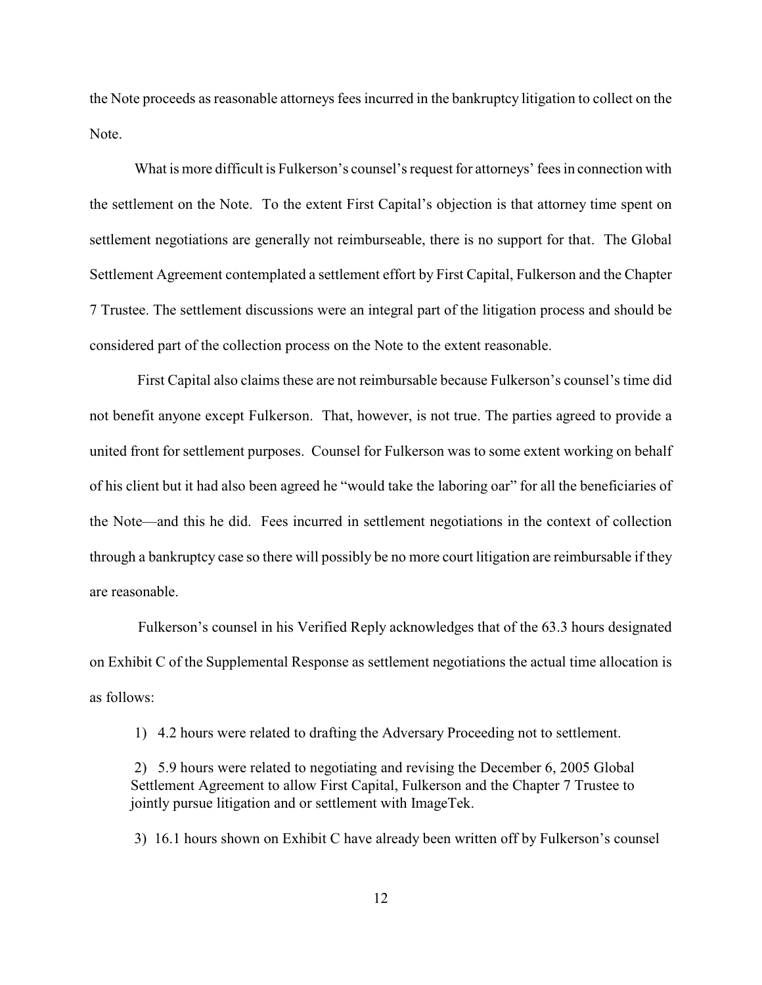the Note proceeds as reasonable attorneys fees incurred in the bankruptcy litigation to collect on the Note.

What is more difficult is Fulkerson's counsel's request for attorneys' fees in connection with the settlement on the Note. To the extent First Capital's objection is that attorney time spent on settlement negotiations are generally not reimburseable, there is no support for that. The Global Settlement Agreement contemplated a settlement effort by First Capital, Fulkerson and the Chapter 7 Trustee. The settlement discussions were an integral part of the litigation process and should be considered part of the collection process on the Note to the extent reasonable.

 First Capital also claims these are not reimbursable because Fulkerson's counsel's time did not benefit anyone except Fulkerson. That, however, is not true. The parties agreed to provide a united front for settlement purposes. Counsel for Fulkerson was to some extent working on behalf of his client but it had also been agreed he "would take the laboring oar" for all the beneficiaries of the Note—and this he did. Fees incurred in settlement negotiations in the context of collection through a bankruptcy case so there will possibly be no more court litigation are reimbursable if they are reasonable.

 Fulkerson's counsel in his Verified Reply acknowledges that of the 63.3 hours designated on Exhibit C of the Supplemental Response as settlement negotiations the actual time allocation is as follows:

1) 4.2 hours were related to drafting the Adversary Proceeding not to settlement.

2) 5.9 hours were related to negotiating and revising the December 6, 2005 Global Settlement Agreement to allow First Capital, Fulkerson and the Chapter 7 Trustee to jointly pursue litigation and or settlement with ImageTek.

3) 16.1 hours shown on Exhibit C have already been written off by Fulkerson's counsel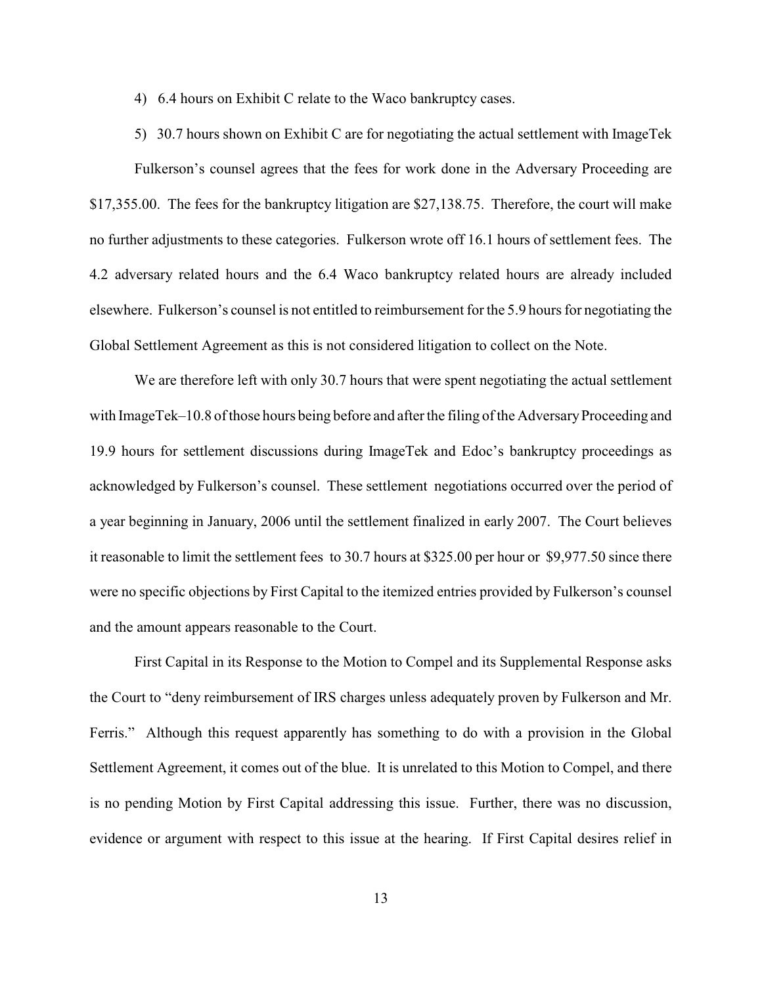4) 6.4 hours on Exhibit C relate to the Waco bankruptcy cases.

5) 30.7 hours shown on Exhibit C are for negotiating the actual settlement with ImageTek Fulkerson's counsel agrees that the fees for work done in the Adversary Proceeding are \$17,355.00. The fees for the bankruptcy litigation are \$27,138.75. Therefore, the court will make no further adjustments to these categories. Fulkerson wrote off 16.1 hours of settlement fees. The 4.2 adversary related hours and the 6.4 Waco bankruptcy related hours are already included elsewhere. Fulkerson's counsel is not entitled to reimbursement for the 5.9 hours for negotiating the Global Settlement Agreement as this is not considered litigation to collect on the Note.

We are therefore left with only 30.7 hours that were spent negotiating the actual settlement with ImageTek–10.8 of those hours being before and after the filing of the Adversary Proceeding and 19.9 hours for settlement discussions during ImageTek and Edoc's bankruptcy proceedings as acknowledged by Fulkerson's counsel. These settlement negotiations occurred over the period of a year beginning in January, 2006 until the settlement finalized in early 2007. The Court believes it reasonable to limit the settlement fees to 30.7 hours at \$325.00 per hour or \$9,977.50 since there were no specific objections by First Capital to the itemized entries provided by Fulkerson's counsel and the amount appears reasonable to the Court.

First Capital in its Response to the Motion to Compel and its Supplemental Response asks the Court to "deny reimbursement of IRS charges unless adequately proven by Fulkerson and Mr. Ferris." Although this request apparently has something to do with a provision in the Global Settlement Agreement, it comes out of the blue. It is unrelated to this Motion to Compel, and there is no pending Motion by First Capital addressing this issue. Further, there was no discussion, evidence or argument with respect to this issue at the hearing. If First Capital desires relief in